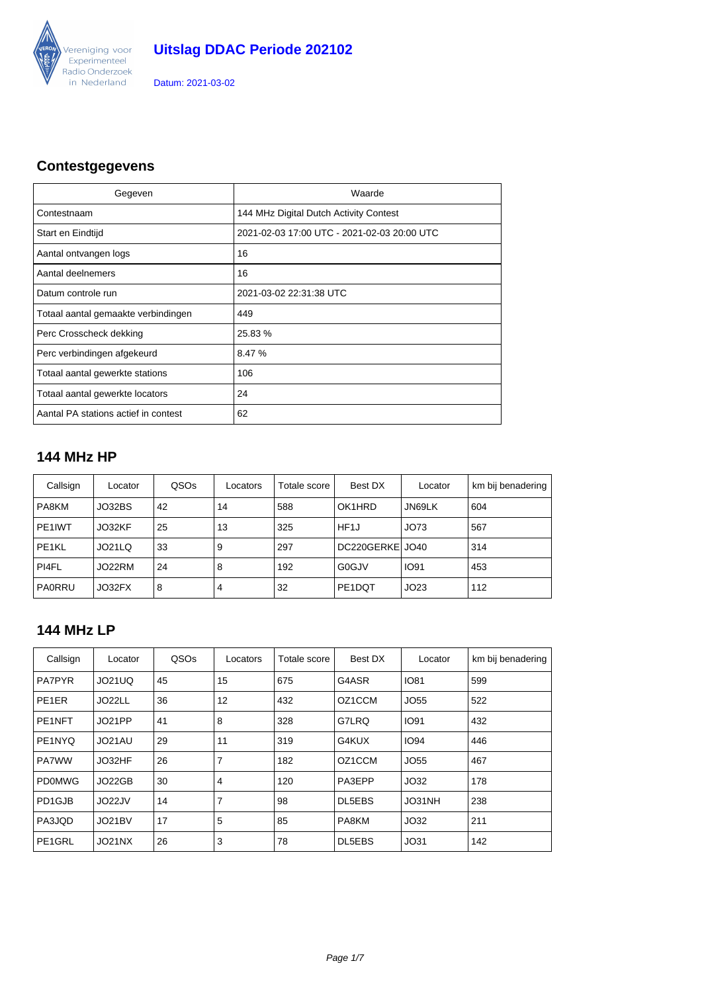

### **Contestgegevens**

| Gegeven                              | Waarde                                      |
|--------------------------------------|---------------------------------------------|
| Contestnaam                          | 144 MHz Digital Dutch Activity Contest      |
| Start en Eindtijd                    | 2021-02-03 17:00 UTC - 2021-02-03 20:00 UTC |
| Aantal ontvangen logs                | 16                                          |
| Aantal deelnemers                    | 16                                          |
| Datum controle run                   | 2021-03-02 22:31:38 UTC                     |
| Totaal aantal gemaakte verbindingen  | 449                                         |
| Perc Crosscheck dekking              | 25.83%                                      |
| Perc verbindingen afgekeurd          | 8.47 %                                      |
| Totaal aantal gewerkte stations      | 106                                         |
| Totaal aantal gewerkte locators      | 24                                          |
| Aantal PA stations actief in contest | 62                                          |

### **144 MHz HP**

| Callsign            | Locator | QSOs | Locators | Best DX<br>Totale score |                     | Locator     | km bij benadering |
|---------------------|---------|------|----------|-------------------------|---------------------|-------------|-------------------|
| PA8KM               | JO32BS  | 42   | 14       | 588<br>OK1HRD<br>JN69LK |                     | 604         |                   |
| PE <sub>1</sub> IWT | JO32KF  | 25   | 13       | 325                     | HF <sub>1</sub> J   | JO73        | 567               |
| PE1KL               | JO21LQ  | 33   | 9        | 297                     | DC220GERKE JO40     |             | 314               |
| PI4FL               | JO22RM  | 24   | 8        | 192                     | G0GJV               | <b>IO91</b> | 453               |
| PA0RRU              | JO32FX  | 8    | 4        | 32                      | PE <sub>1</sub> DQT | JO23        | 112               |

#### **144 MHz LP**

| Callsign            | Locator | QSOs | Locators       | Totale score | Best DX       | Locator     | km bij benadering |
|---------------------|---------|------|----------------|--------------|---------------|-------------|-------------------|
| <b>PA7PYR</b>       | JO21UQ  | 45   | 15             | 675          | G4ASR         | <b>IO81</b> | 599               |
| PE <sub>1</sub> ER  | JO22LL  | 36   | 12             | 432          | OZ1CCM        | JO55        | 522               |
| PE <sub>1</sub> NFT | JO21PP  | 41   | 8              | 328          | G7LRQ         | <b>IO91</b> | 432               |
| PE1NYQ              | JO21AU  | 29   | 11             | 319          | G4KUX         | <b>IO94</b> | 446               |
| <b>PA7WW</b>        | JO32HF  | 26   | $\overline{7}$ | 182          | OZ1CCM        | JO55        | 467               |
| PD0MWG              | JO22GB  | 30   | 4              | 120          | PA3EPP        | JO32        | 178               |
| PD1GJB              | JO22JV  | 14   | 7              | 98           | DL5EBS        | JO31NH      | 238               |
| PA3JQD              | JO21BV  | 17   | 5              | 85           | PA8KM         | JO32        | 211               |
| PE1GRL              | JO21NX  | 26   | 3              | 78           | <b>DL5EBS</b> | JO31        | 142               |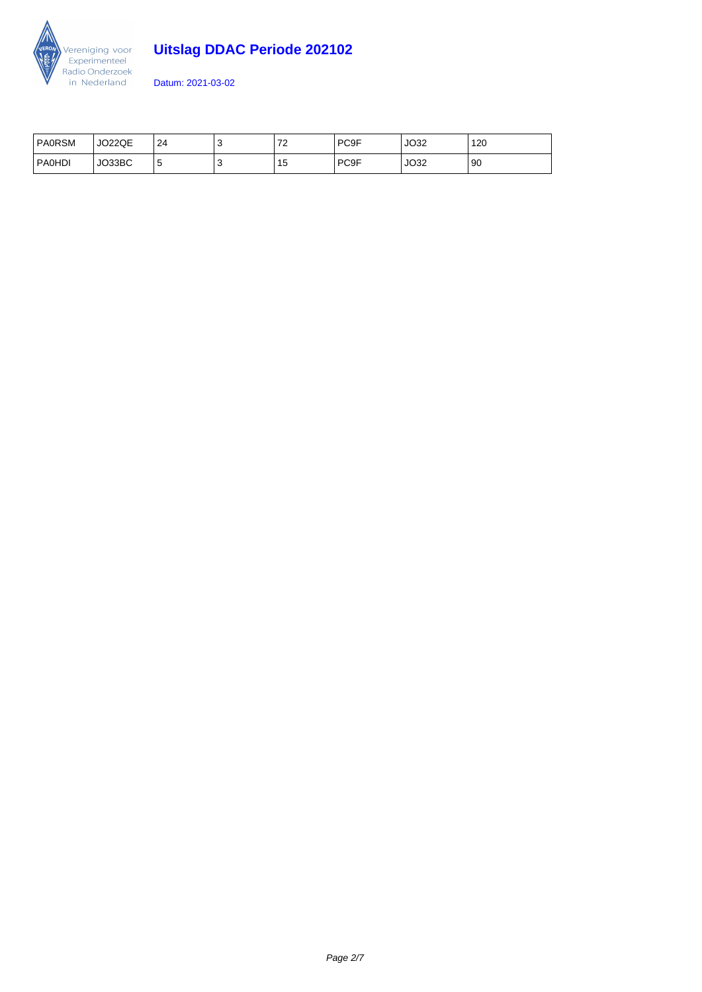

# **Uitslag DDAC Periode 202102**

| <b>PAORSM</b> | <b>JO22QE</b> | 24 |    | $\overline{z}$<br>▵ | PC <sub>9F</sub> | JO32 | 120 |
|---------------|---------------|----|----|---------------------|------------------|------|-----|
| PAOHDI        | JO33BC        | ზ  | л. | כ ו                 | PC <sub>9F</sub> | JO32 | 90  |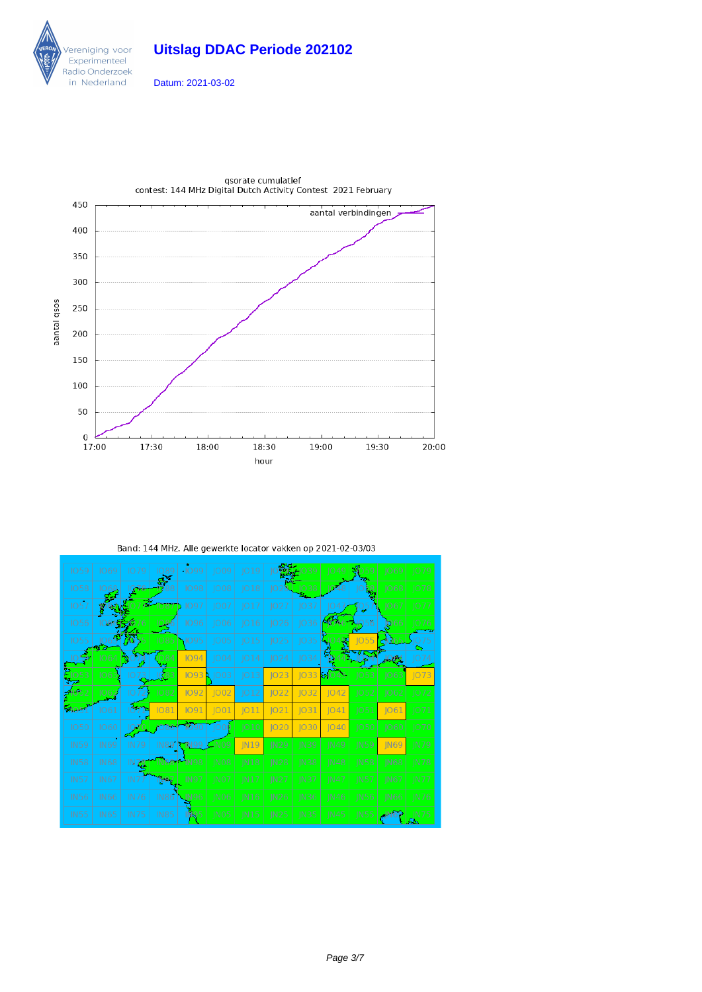





Band: 144 MHz. Alle gewerkte locator vakken op 2021-02-03/03

| <b>IO59</b>   | 1069        | IO 79       | 1089        | $-1099$     | 1009             | IО<br>9<br>ı |                  |                  | Ю             |             | 1069                   | 1079             |
|---------------|-------------|-------------|-------------|-------------|------------------|--------------|------------------|------------------|---------------|-------------|------------------------|------------------|
| <b>IO58</b>   |             | 1076        |             | <b>1098</b> | JO08             | 018          |                  | 1038             |               |             | <b>O68</b>             | 1078             |
| <b>IO57</b>   |             |             | 1087        | 1097        | JO07             | JO17         | JO27             | JO37             | 1047          | 105         | JO67                   | 1077             |
| <b>IO56</b>   | ೧೮೬೬ರ       |             |             | <b>1096</b> | 1006             | 1016         | <b>IO26</b>      | 036              | <b>SPA6</b>   | 56          | <b>D</b> <sub>66</sub> | 1076             |
| 1055          |             | <b>VO</b>   | 1085        | 1095        | JO05             | 1015         | 1025             | 1035             | 罞             | 1055        |                        |                  |
|               | 1064        | 词(          | 1084        | <b>IO94</b> | 1004             | 014          | 1024             | IO34             |               | 054         | 294                    | 074              |
| 053           | 106         | IO          | IQ83        | 1093R       | 1003             | JO13         | JO23             | 033              | 84043         | 1053        | 1063                   | IO73             |
|               | 062         | IO.         | 1082        | <b>IO92</b> | JO02             | JO12         | JO22             | JO32             | JO42          | 1052        | 1062                   | 1072             |
| <b>240.51</b> | 1061        | ਨੋਸ         | 1081        | <b>1091</b> | 001              | 011          | 1021             | 031              | 041           | 1051        | 1061                   | 1071             |
| <b>IO50</b>   | 1060        |             |             |             | 1000             | 010          | IO20             | 1030             | $ 040\rangle$ | 1050        | 1060                   | 1070             |
| <b>IN59</b>   | <b>IN69</b> | <b>IN79</b> |             | IN89 7N99   | C <sub>N09</sub> | <b>IN19</b>  | IN <sub>29</sub> | <b>IN39</b>      | IN49          | <b>IN59</b> | <b>IN69</b>            | <b>IN79</b>      |
| <b>IN58</b>   | <b>IN68</b> | IN 76       |             | IN 98       | IN <sub>08</sub> | N18          | IN28             | IN38             | <b>IN48</b>   | IN58        | <b>IN68</b>            | $\overline{N78}$ |
| <b>IN57</b>   | <b>IN67</b> | IN7         | N87         | <b>IN97</b> | NO7              | IN17         | IN27             | IN37             | IN 47         | <b>IN57</b> | IN67                   | <b>IN77</b>      |
| <b>IN56</b>   | <b>IN66</b> | <b>IN76</b> | <b>IN86</b> | JN96        | IN <sub>06</sub> | <b>IN16</b>  | <b>IN26</b>      | IN <sub>36</sub> | IN46          | <b>IN56</b> | <b>IN66</b>            | <b>IN76</b>      |
| <b>IN55</b>   | <b>IN65</b> | <b>IN75</b> | <b>IN85</b> |             | IN <sub>05</sub> | IN15         | <b>IN25</b>      | IN <sub>35</sub> | <b>IN45</b>   | IN55        |                        | <b>IN75</b>      |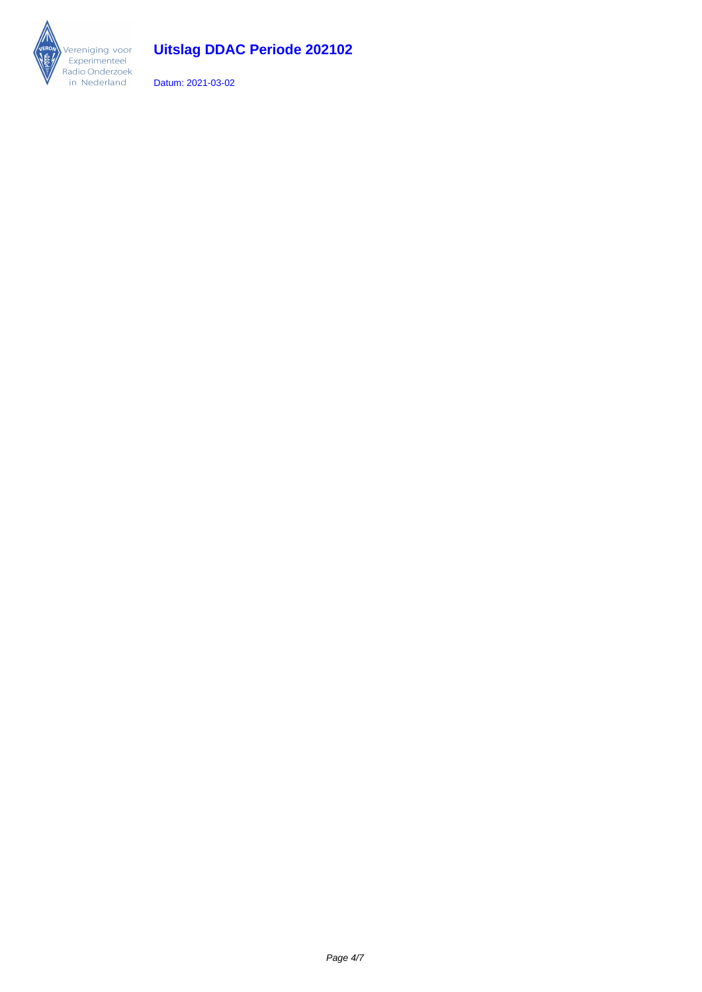

# **Uitslag DDAC Periode 202102**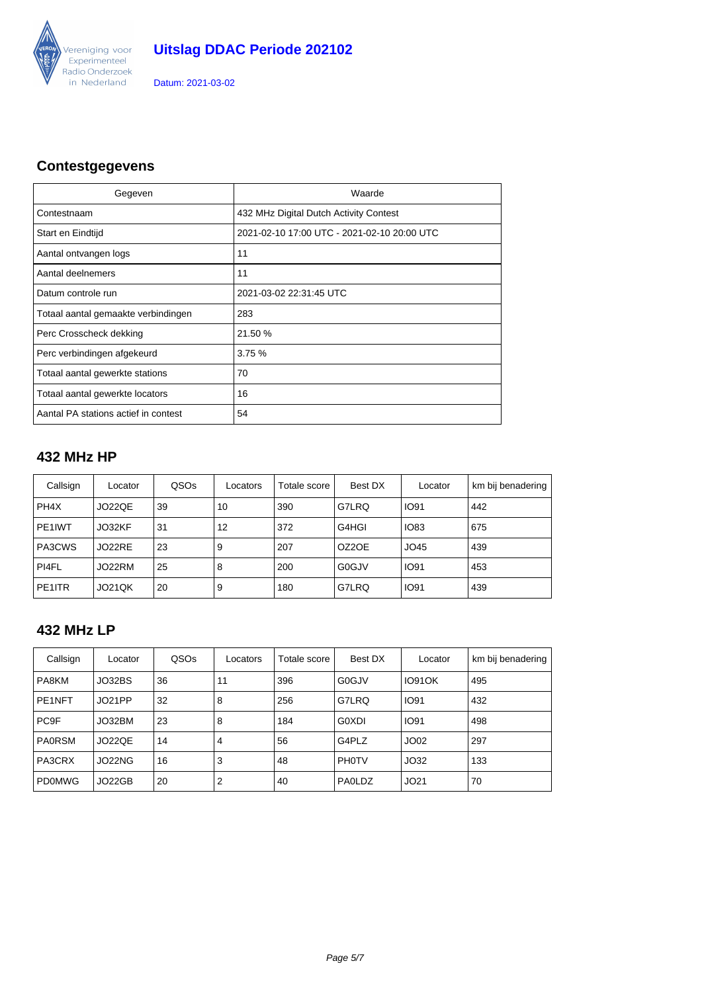

### **Contestgegevens**

| Gegeven                              | Waarde                                      |
|--------------------------------------|---------------------------------------------|
| Contestnaam                          | 432 MHz Digital Dutch Activity Contest      |
| Start en Eindtijd                    | 2021-02-10 17:00 UTC - 2021-02-10 20:00 UTC |
| Aantal ontvangen logs                | 11                                          |
| Aantal deelnemers                    | 11                                          |
| Datum controle run                   | 2021-03-02 22:31:45 UTC                     |
| Totaal aantal gemaakte verbindingen  | 283                                         |
| Perc Crosscheck dekking              | 21.50 %                                     |
| Perc verbindingen afgekeurd          | 3.75%                                       |
| Totaal aantal gewerkte stations      | 70                                          |
| Totaal aantal gewerkte locators      | 16                                          |
| Aantal PA stations actief in contest | 54                                          |

### **432 MHz HP**

| Callsign          | Locator       | QSOs | Locators | Totale score | Best DX                     | Locator     | km bij benadering |
|-------------------|---------------|------|----------|--------------|-----------------------------|-------------|-------------------|
| PH <sub>4</sub> X | JO22QE        | 39   | 10       | 390          | G7LRQ                       | <b>IO91</b> | 442               |
| PE1IWT            | JO32KF        | 31   | 12       | 372          | <b>IO83</b><br>G4HGI<br>675 |             |                   |
| PA3CWS            | JO22RE        | 23   | 9        | 207          | OZ2OE                       | JO45        | 439               |
| PI4FL             | JO22RM        | 25   | 8        | 200          | G0GJV                       | <b>IO91</b> | 453               |
| PE1ITR            | <b>JO21QK</b> | 20   | 9        | 180          | G7LRQ                       | <b>IO91</b> | 439               |

#### **432 MHz LP**

| Callsign         | Locator | QSOs | Locators       | Totale score | Best DX       | Locator       | km bij benadering |
|------------------|---------|------|----------------|--------------|---------------|---------------|-------------------|
| PA8KM            | JO32BS  | 36   | 11             | 396          | G0GJV         | <b>IO91OK</b> | 495               |
| PE1NFT           | JO21PP  | 32   | 8              | 256          | G7LRQ         | <b>IO91</b>   | 432               |
| PC <sub>9F</sub> | JO32BM  | 23   | 8              | 184          | G0XDI         | <b>IO91</b>   | 498               |
| <b>PA0RSM</b>    | JO22QE  | 14   | $\overline{4}$ | 56           | G4PLZ         | JO02          | 297               |
| PA3CRX           | JO22NG  | 16   | 3              | 48           | <b>PH0TV</b>  | JO32          | 133               |
| <b>PDOMWG</b>    | JO22GB  | 20   | $\overline{2}$ | 40           | <b>PAOLDZ</b> | JO21          | 70                |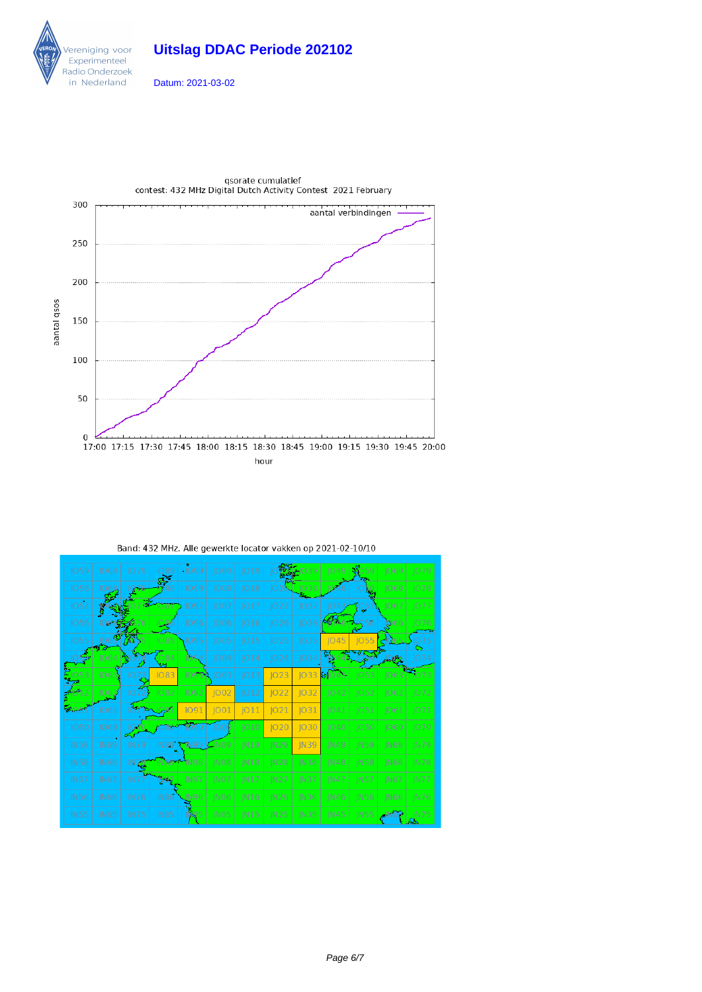





| Band: 432 MHz. Alle gewerkte locator vakken op 2021-02-10/10 |  |  |
|--------------------------------------------------------------|--|--|
|                                                              |  |  |

| <b>IO59</b> | 1069        | 1079        | <b>IO89</b>  | $-1099$     | JO09             | 019         |             |             | 1049        | 59          | 1069        | <b>IO79</b> |
|-------------|-------------|-------------|--------------|-------------|------------------|-------------|-------------|-------------|-------------|-------------|-------------|-------------|
| <b>IO58</b> |             | Q78         |              | <b>1098</b> | JO08             | 018         |             | 1038        |             |             | ]068        | 1078        |
| <b>IO57</b> |             |             | 1087         | 1097        | 1007             | JO17        | JO27        | 1037        | 1047        | 105         | JO67        | 1077        |
| 1056        | 066.SKJ     |             |              | 1096        | 1006             | JO16        | 1026        | 036         |             |             | <b>D</b> 66 | 1076        |
| 1055        |             | w           | 1085         | 1095        | 1005             | 015         | JO25        | 035         | 045         | <b>JO55</b> |             |             |
|             | 1064        | ۳Ņ          | $\sqrt{084}$ | 094         | 1004             | 014         | 1024        | JO34        |             |             | وتهادار     | 074         |
| 1053        | 106         | IO          | <b>IO83</b>  | 1093        | 1003             | JO13        | JO23        | 033         | 81043       | 1053        | 1063        | 1073        |
|             | 1062        | IО          | 1082         | 1092        | 1002             | 012         | JO22        | 032         | 1042        | 1052        | 1062        | 1072        |
| 58051       | 1061        |             | JO81         | 1091        | 001              | 011         | 1021        | IO31        | 1041        | 1051        | 1061        | 1071        |
| <b>IO50</b> | 1060        |             |              |             | <b>IQO</b>       | 010         | JO20        | IO30        | 1040        | 1050        | 1060        | 1070        |
| <b>IN59</b> | <b>IN69</b> | <b>IN79</b> |              | IN89   1N99 | C <sub>N09</sub> | N19         | <b>IN29</b> | <b>IN39</b> | <b>IN49</b> | <b>IN59</b> | IN69        | <b>IN79</b> |
| <b>IN58</b> | <b>IN68</b> | IN76        | IN 88        | <b>IN98</b> | IN <sub>08</sub> | N18         | IN28        | IN38        | IN48        | <b>IN58</b> | <b>IN68</b> | <b>IN78</b> |
| <b>IN57</b> | <b>IN67</b> | IN7         | N87          | <b>IN97</b> | $\overline{N}07$ | IN17        | IN27        | <b>IN37</b> | <b>IN47</b> | <b>IN57</b> | IN67        | <b>IN77</b> |
| <b>IN56</b> | <b>IN66</b> | <b>IN76</b> | <b>IN86</b>  | JN96        | IN <sub>06</sub> | <b>IN16</b> | <b>IN26</b> | <b>IN36</b> | <b>IN46</b> | <b>IN56</b> | <b>IN66</b> | <b>IN76</b> |
| <b>IN55</b> | IN65        | <b>IN75</b> | <b>IN85</b>  |             | IN <sub>05</sub> | IN15        | IN25        | <b>IN35</b> | <b>IN45</b> | IN55        |             | <b>IN75</b> |